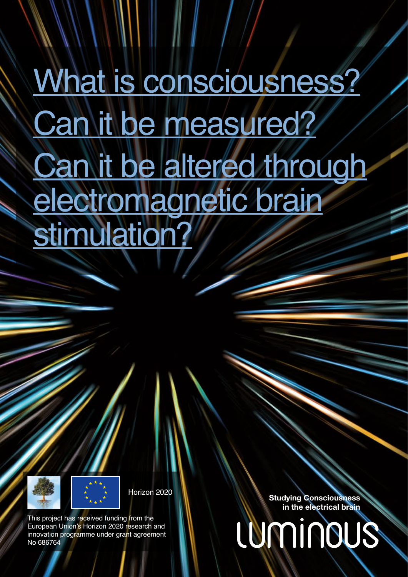# What is consciousness? Can it be measured? **Can it be altered through** electromagnetic brain stimulation?



This project has received funding from the European Union's Horizon 2020 research and innovation programme under grant agreement No 686764

Horizon 2020 **Studying Consciousness** in the electrical brain

LUMINOUS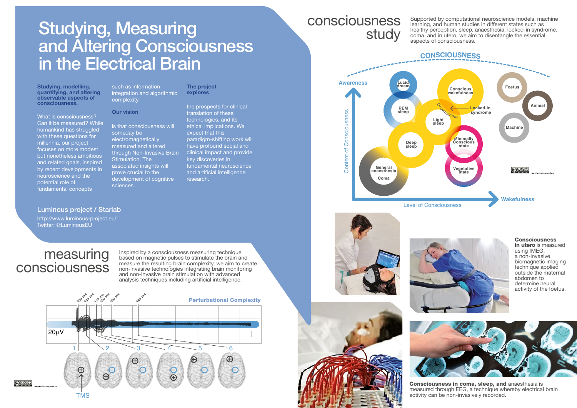# Studying, Measuring and Altering Consciousness in the Electrical Brain

Studying, modelling, quantifying, and altering observable aspects of consciousness.

What is consciousness? Can it be measured? While humankind has struggled with these questions for millennia, our project focuses on more modest but nonetheless ambitious and related goals, inspired by recent developments in neuroscience and the potential role of fundamental concepts

Our vision

complexity.

someday be electromagnetically measured and altered through Non-Invasive Brain Stimulation. The associated insights will prove crucial to the development of cognitive sciences.

Luminous project / Starlab http://www.luminous-project.eu/ Twitter: @LuminousEU

### such as information integration and algorithmic The project explores

is that consciousness will

# the prospects for clinical translation of these technologies, and its ethical implications. We

expect that this paradigm-shifting work will have profound social and clinical impact and provide key discoveries in fundamental neuroscience and artificial intelligence research.

### measuring consciousness

Inspired by a consciousness measuring technique based on magnetic pulses to stimulate the brain and measure the resulting brain complexity, we aim to create non-invasive technologies integrating brain monitoring and non-invasive brain stimulation with advanced analysis techniques including artificial intelligence.



## consciousness study

Supported by computational neuroscience models, machine learning, and human studies in different states such as healthy perception, sleep, anaesthesia, locked-in syndrome, coma, and in utero, we aim to disentangle the essential aspects of consciousness.







**Consciousness** in utero is measured using fMEG, a non-invasive biomagnetic imaging technique applied outside the maternal abdomen to determine neural activity of the foetus.



Consciousness in coma, sleep, and anaesthesia is measured through EEG, a technique whereby electrical brain activity can be non-invasively recorded.